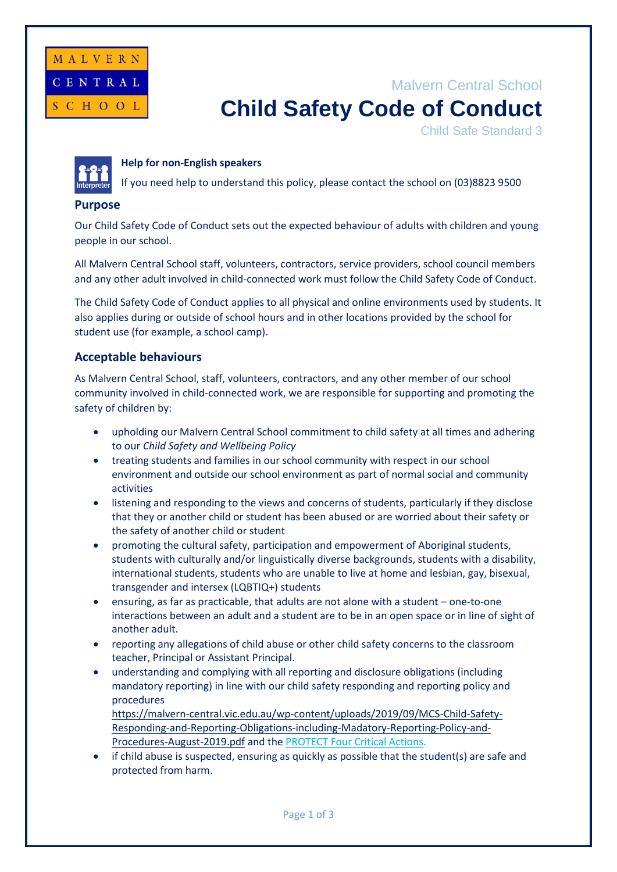

# Malvern Central School **Child Safety Code of Conduct**

Child Safe Standard 3



### **Help for non-English speakers**

If you need help to understand this policy, please contact the school on (03)8823 9500

### **Purpose**

Our Child Safety Code of Conduct sets out the expected behaviour of adults with children and young people in our school.

All Malvern Central School staff, volunteers, contractors, service providers, school council members and any other adult involved in child-connected work must follow the Child Safety Code of Conduct.

The Child Safety Code of Conduct applies to all physical and online environments used by students. It also applies during or outside of school hours and in other locations provided by the school for student use (for example, a school camp).

## **Acceptable behaviours**

As Malvern Central School, staff, volunteers, contractors, and any other member of our school community involved in child-connected work, we are responsible for supporting and promoting the safety of children by:

- upholding our Malvern Central School commitment to child safety at all times and adhering to our *Child Safety and Wellbeing Policy*
- treating students and families in our school community with respect in our school environment and outside our school environment as part of normal social and community activities
- listening and responding to the views and concerns of students, particularly if they disclose that they or another child or student has been abused or are worried about their safety or the safety of another child or student
- promoting the cultural safety, participation and empowerment of Aboriginal students, students with culturally and/or linguistically diverse backgrounds, students with a disability, international students, students who are unable to live at home and lesbian, gay, bisexual, transgender and intersex (LQBTIQ+) students
- ensuring, as far as practicable, that adults are not alone with a student one-to-one interactions between an adult and a student are to be in an open space or in line of sight of another adult.
- reporting any allegations of child abuse or other child safety concerns to the classroom teacher, Principal or Assistant Principal.
- understanding and complying with all reporting and disclosure obligations (including mandatory reporting) in line with our child safety responding and reporting policy and procedures

https://malvern-central.vic.edu.au/wp-content/uploads/2019/09/MCS-Child-Safety-Responding-and-Reporting-Obligations-including-Madatory-Reporting-Policy-and-Procedures-August-2019.pdf and th[e PROTECT Four Critical Actions.](https://www.education.vic.gov.au/Documents/about/programs/health/protect/FourCriticalActions_ChildAbuse.pdf)

• if child abuse is suspected, ensuring as quickly as possible that the student(s) are safe and protected from harm.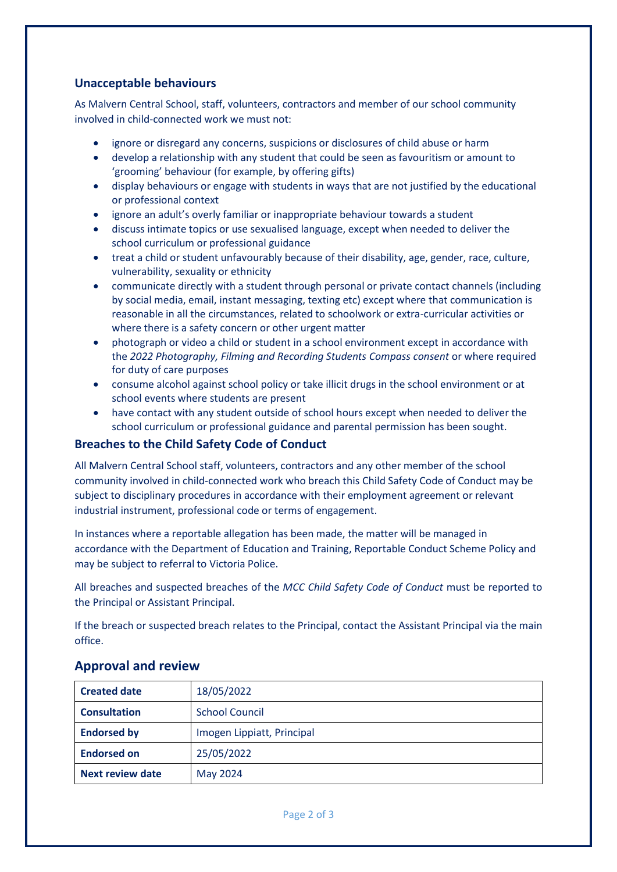# **Unacceptable behaviours**

As Malvern Central School, staff, volunteers, contractors and member of our school community involved in child-connected work we must not:

- ignore or disregard any concerns, suspicions or disclosures of child abuse or harm
- develop a relationship with any student that could be seen as favouritism or amount to 'grooming' behaviour (for example, by offering gifts)
- display behaviours or engage with students in ways that are not justified by the educational or professional context
- ignore an adult's overly familiar or inappropriate behaviour towards a student
- discuss intimate topics or use sexualised language, except when needed to deliver the school curriculum or professional guidance
- treat a child or student unfavourably because of their disability, age, gender, race, culture, vulnerability, sexuality or ethnicity
- communicate directly with a student through personal or private contact channels (including by social media, email, instant messaging, texting etc) except where that communication is reasonable in all the circumstances, related to schoolwork or extra-curricular activities or where there is a safety concern or other urgent matter
- photograph or video a child or student in a school environment except in accordance with the *2022 Photography, Filming and Recording Students Compass consent* or where required for duty of care purposes
- consume alcohol against school policy or take illicit drugs in the school environment or at school events where students are present
- have contact with any student outside of school hours except when needed to deliver the school curriculum or professional guidance and parental permission has been sought.

## **Breaches to the Child Safety Code of Conduct**

All Malvern Central School staff, volunteers, contractors and any other member of the school community involved in child-connected work who breach this Child Safety Code of Conduct may be subject to disciplinary procedures in accordance with their employment agreement or relevant industrial instrument, professional code or terms of engagement.

In instances where a reportable allegation has been made, the matter will be managed in accordance with the Department of Education and Training, Reportable Conduct Scheme Policy and may be subject to referral to Victoria Police.

All breaches and suspected breaches of the *MCC Child Safety Code of Conduct* must be reported to the Principal or Assistant Principal.

If the breach or suspected breach relates to the Principal, contact the Assistant Principal via the main office.

| <b>Created date</b>     | 18/05/2022                 |
|-------------------------|----------------------------|
| <b>Consultation</b>     | <b>School Council</b>      |
| <b>Endorsed by</b>      | Imogen Lippiatt, Principal |
| <b>Endorsed on</b>      | 25/05/2022                 |
| <b>Next review date</b> | May 2024                   |

## **Approval and review**